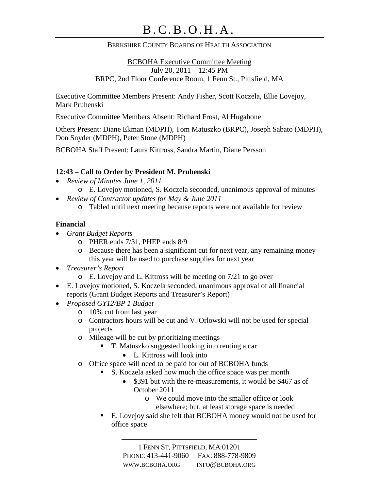### BERKSHIRE COUNTY BOARDS OF HEALTH ASSOCIATION

BCBOHA Executive Committee Meeting July 20, 2011 – 12:45 PM BRPC, 2nd Floor Conference Room, 1 Fenn St., Pittsfield, MA

Executive Committee Members Present: Andy Fisher, Scott Koczela, Ellie Lovejoy, Mark Pruhenski

Executive Committee Members Absent: Richard Frost, Al Hugabone

Others Present: Diane Ekman (MDPH), Tom Matuszko (BRPC), Joseph Sabato (MDPH), Don Snyder (MDPH), Peter Stone (MDPH)

BCBOHA Staff Present: Laura Kittross, Sandra Martin, Diane Persson

### **12:43 – Call to Order by President M. Pruhenski**

- *Review of Minutes June 1, 2011*
	- o E. Lovejoy motioned, S. Koczela seconded, unanimous approval of minutes
- *Review of Contractor updates for May & June 2011*
	- o Tabled until next meeting because reports were not available for review

### **Financial**

- *Grant Budget Reports*
	- o PHER ends 7/31, PHEP ends 8/9
	- o Because there has been a significant cut for next year, any remaining money this year will be used to purchase supplies for next year
- *Treasurer's Report*
	- o E. Lovejoy and L. Kittross will be meeting on 7/21 to go over
- E. Lovejoy motioned, S. Koczela seconded, unanimous approval of all financial reports (Grant Budget Reports and Treasurer's Report)
- *Proposed GY12/BP 1 Budget*
	- o 10% cut from last year
	- o Contractors hours will be cut and V. Orlowski will not be used for special projects
	- o Mileage will be cut by prioritizing meetings
		- T. Matuszko suggested looking into renting a car
			- L. Kittross will look into
	- o Office space will need to be paid for out of BCBOHA funds
		- S. Koczela asked how much the office space was per month
			- \$391 but with the re-measurements, it would be \$467 as of October 2011
				- o We could move into the smaller office or look elsewhere; but, at least storage space is needed
		- E. Lovejoy said she felt that BCBOHA money would not be used for office space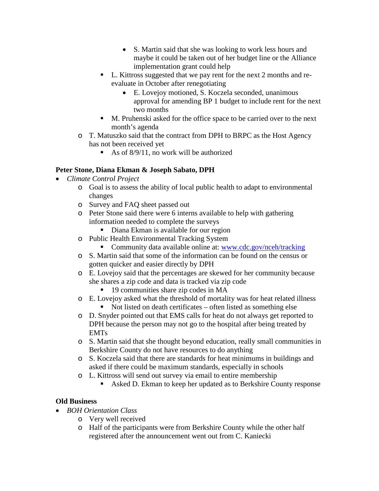- S. Martin said that she was looking to work less hours and maybe it could be taken out of her budget line or the Alliance implementation grant could help
- L. Kittross suggested that we pay rent for the next 2 months and reevaluate in October after renegotiating
	- E. Lovejoy motioned, S. Koczela seconded, unanimous approval for amending BP 1 budget to include rent for the next two months
- M. Pruhenski asked for the office space to be carried over to the next month's agenda
- o T. Matuszko said that the contract from DPH to BRPC as the Host Agency has not been received yet
	- As of  $8/9/11$ , no work will be authorized

# **Peter Stone, Diana Ekman & Joseph Sabato, DPH**

- *Climate Control Project*
	- o Goal is to assess the ability of local public health to adapt to environmental changes
	- o Survey and FAQ sheet passed out
	- o Peter Stone said there were 6 interns available to help with gathering information needed to complete the surveys
		- Diana Ekman is available for our region
	- o Public Health Environmental Tracking System
		- Community data available online at: [www.cdc.gov/nceh/tracking](http://www.cdc.gov/nceh/tracking)
	- o S. Martin said that some of the information can be found on the census or gotten quicker and easier directly by DPH
	- o E. Lovejoy said that the percentages are skewed for her community because she shares a zip code and data is tracked via zip code
		- <sup>19</sup> communities share zip codes in MA
	- o E. Lovejoy asked what the threshold of mortality was for heat related illness Not listed on death certificates – often listed as something else
	- o D. Snyder pointed out that EMS calls for heat do not always get reported to DPH because the person may not go to the hospital after being treated by EMTs
	- o S. Martin said that she thought beyond education, really small communities in Berkshire County do not have resources to do anything
	- o S. Koczela said that there are standards for heat minimums in buildings and asked if there could be maximum standards, especially in schools
	- o L. Kittross will send out survey via email to entire membership
		- Asked D. Ekman to keep her updated as to Berkshire County response

# **Old Business**

- *BOH Orientation Class*
	- o Very well received
		- o Half of the participants were from Berkshire County while the other half registered after the announcement went out from C. Kaniecki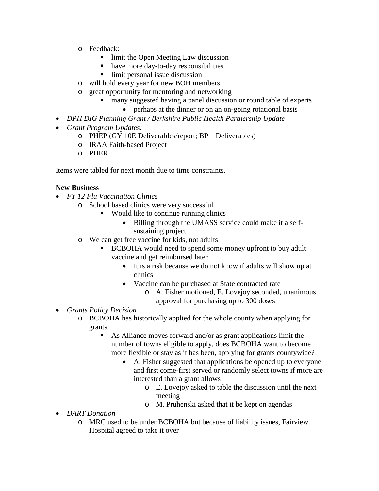- o Feedback:
	- limit the Open Meeting Law discussion
	- have more day-to-day responsibilities
	- limit personal issue discussion
- o will hold every year for new BOH members
- o great opportunity for mentoring and networking
	- many suggested having a panel discussion or round table of experts
	- perhaps at the dinner or on an on-going rotational basis
- *DPH DIG Planning Grant / Berkshire Public Health Partnership Update*
- *Grant Program Updates:*
	- o PHEP (GY 10E Deliverables/report; BP 1 Deliverables)
	- o IRAA Faith-based Project
	- o PHER

Items were tabled for next month due to time constraints.

#### **New Business**

- *FY 12 Flu Vaccination Clinics*
	- o School based clinics were very successful
		- Would like to continue running clinics
			- Billing through the UMASS service could make it a selfsustaining project
	- o We can get free vaccine for kids, not adults
		- BCBOHA would need to spend some money upfront to buy adult vaccine and get reimbursed later
			- It is a risk because we do not know if adults will show up at clinics
			- Vaccine can be purchased at State contracted rate
				- o A. Fisher motioned, E. Lovejoy seconded, unanimous approval for purchasing up to 300 doses
- *Grants Policy Decision*
	- o BCBOHA has historically applied for the whole county when applying for grants
		- As Alliance moves forward and/or as grant applications limit the number of towns eligible to apply, does BCBOHA want to become more flexible or stay as it has been, applying for grants countywide?
			- A. Fisher suggested that applications be opened up to everyone and first come-first served or randomly select towns if more are interested than a grant allows
				- o E. Lovejoy asked to table the discussion until the next meeting
				- o M. Pruhenski asked that it be kept on agendas
- *DART Donation*
	- o MRC used to be under BCBOHA but because of liability issues, Fairview Hospital agreed to take it over